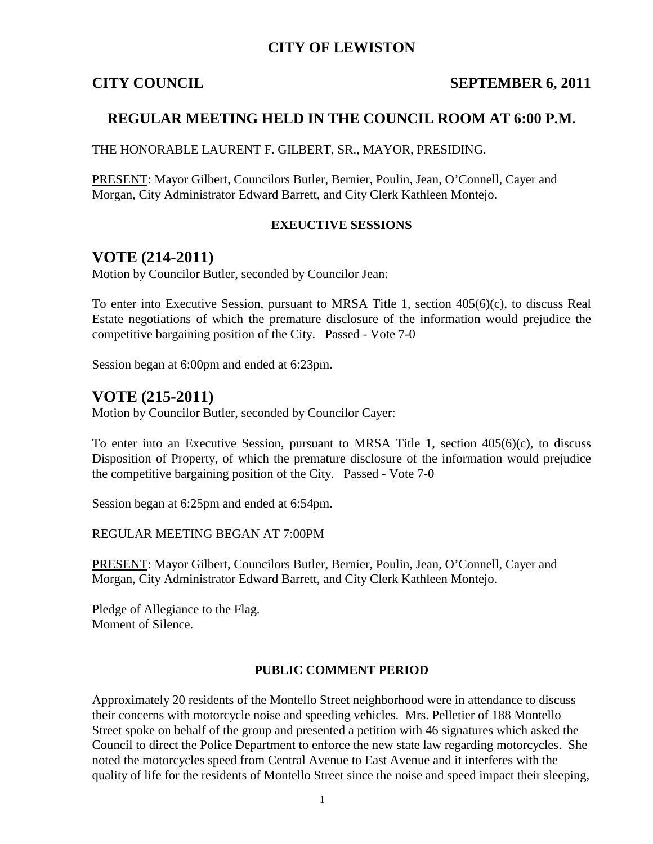## **CITY OF LEWISTON**

#### **CITY COUNCIL** SEPTEMBER 6, 2011

## **REGULAR MEETING HELD IN THE COUNCIL ROOM AT 6:00 P.M.**

THE HONORABLE LAURENT F. GILBERT, SR., MAYOR, PRESIDING.

PRESENT: Mayor Gilbert, Councilors Butler, Bernier, Poulin, Jean, O'Connell, Cayer and Morgan, City Administrator Edward Barrett, and City Clerk Kathleen Montejo.

#### **EXEUCTIVE SESSIONS**

## **VOTE (214-2011)**

Motion by Councilor Butler, seconded by Councilor Jean:

To enter into Executive Session, pursuant to MRSA Title 1, section 405(6)(c), to discuss Real Estate negotiations of which the premature disclosure of the information would prejudice the competitive bargaining position of the City. Passed - Vote 7-0

Session began at 6:00pm and ended at 6:23pm.

## **VOTE (215-2011)**

Motion by Councilor Butler, seconded by Councilor Cayer:

To enter into an Executive Session, pursuant to MRSA Title 1, section  $405(6)(c)$ , to discuss Disposition of Property, of which the premature disclosure of the information would prejudice the competitive bargaining position of the City. Passed - Vote 7-0

Session began at 6:25pm and ended at 6:54pm.

REGULAR MEETING BEGAN AT 7:00PM

PRESENT: Mayor Gilbert, Councilors Butler, Bernier, Poulin, Jean, O'Connell, Cayer and Morgan, City Administrator Edward Barrett, and City Clerk Kathleen Montejo.

Pledge of Allegiance to the Flag. Moment of Silence.

#### **PUBLIC COMMENT PERIOD**

Approximately 20 residents of the Montello Street neighborhood were in attendance to discuss their concerns with motorcycle noise and speeding vehicles. Mrs. Pelletier of 188 Montello Street spoke on behalf of the group and presented a petition with 46 signatures which asked the Council to direct the Police Department to enforce the new state law regarding motorcycles. She noted the motorcycles speed from Central Avenue to East Avenue and it interferes with the quality of life for the residents of Montello Street since the noise and speed impact their sleeping,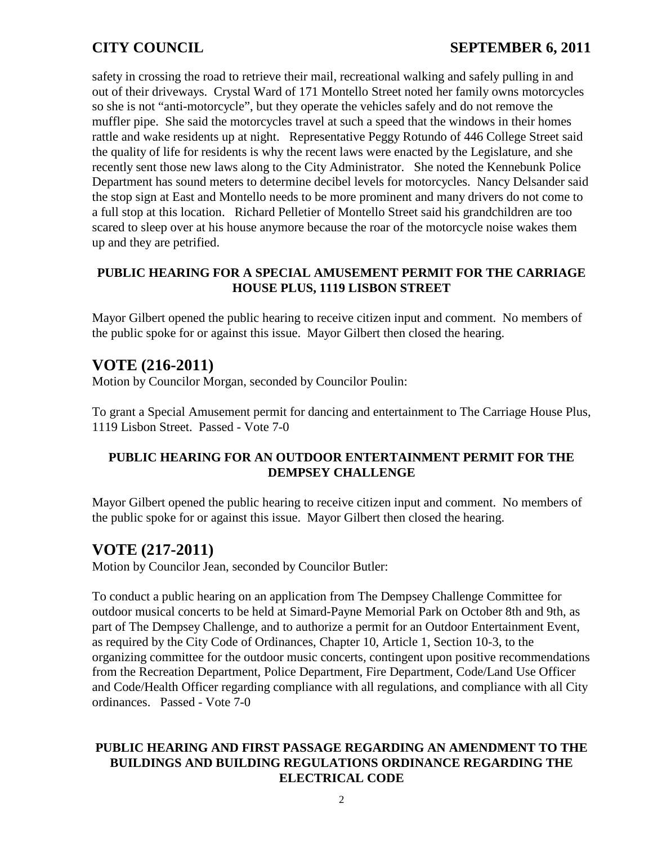safety in crossing the road to retrieve their mail, recreational walking and safely pulling in and out of their driveways. Crystal Ward of 171 Montello Street noted her family owns motorcycles so she is not "anti-motorcycle", but they operate the vehicles safely and do not remove the muffler pipe. She said the motorcycles travel at such a speed that the windows in their homes rattle and wake residents up at night. Representative Peggy Rotundo of 446 College Street said the quality of life for residents is why the recent laws were enacted by the Legislature, and she recently sent those new laws along to the City Administrator. She noted the Kennebunk Police Department has sound meters to determine decibel levels for motorcycles. Nancy Delsander said the stop sign at East and Montello needs to be more prominent and many drivers do not come to a full stop at this location. Richard Pelletier of Montello Street said his grandchildren are too scared to sleep over at his house anymore because the roar of the motorcycle noise wakes them up and they are petrified.

#### **PUBLIC HEARING FOR A SPECIAL AMUSEMENT PERMIT FOR THE CARRIAGE HOUSE PLUS, 1119 LISBON STREET**

Mayor Gilbert opened the public hearing to receive citizen input and comment. No members of the public spoke for or against this issue. Mayor Gilbert then closed the hearing.

## **VOTE (216-2011)**

Motion by Councilor Morgan, seconded by Councilor Poulin:

To grant a Special Amusement permit for dancing and entertainment to The Carriage House Plus, 1119 Lisbon Street. Passed - Vote 7-0

### **PUBLIC HEARING FOR AN OUTDOOR ENTERTAINMENT PERMIT FOR THE DEMPSEY CHALLENGE**

Mayor Gilbert opened the public hearing to receive citizen input and comment. No members of the public spoke for or against this issue. Mayor Gilbert then closed the hearing.

## **VOTE (217-2011)**

Motion by Councilor Jean, seconded by Councilor Butler:

To conduct a public hearing on an application from The Dempsey Challenge Committee for outdoor musical concerts to be held at Simard-Payne Memorial Park on October 8th and 9th, as part of The Dempsey Challenge, and to authorize a permit for an Outdoor Entertainment Event, as required by the City Code of Ordinances, Chapter 10, Article 1, Section 10-3, to the organizing committee for the outdoor music concerts, contingent upon positive recommendations from the Recreation Department, Police Department, Fire Department, Code/Land Use Officer and Code/Health Officer regarding compliance with all regulations, and compliance with all City ordinances. Passed - Vote 7-0

### **PUBLIC HEARING AND FIRST PASSAGE REGARDING AN AMENDMENT TO THE BUILDINGS AND BUILDING REGULATIONS ORDINANCE REGARDING THE ELECTRICAL CODE**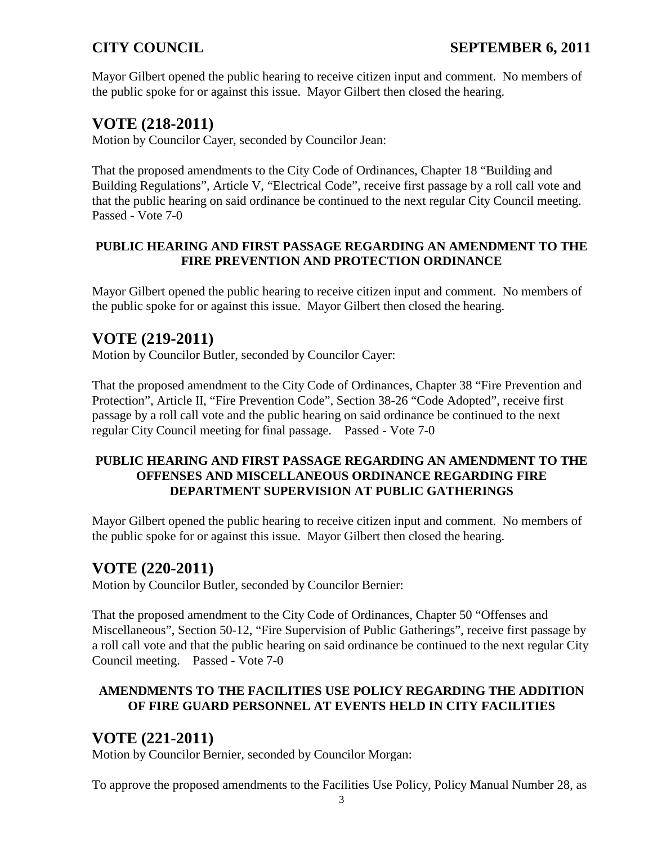Mayor Gilbert opened the public hearing to receive citizen input and comment. No members of the public spoke for or against this issue. Mayor Gilbert then closed the hearing.

# **VOTE (218-2011)**

Motion by Councilor Cayer, seconded by Councilor Jean:

That the proposed amendments to the City Code of Ordinances, Chapter 18 "Building and Building Regulations", Article V, "Electrical Code", receive first passage by a roll call vote and that the public hearing on said ordinance be continued to the next regular City Council meeting. Passed - Vote 7-0

### **PUBLIC HEARING AND FIRST PASSAGE REGARDING AN AMENDMENT TO THE FIRE PREVENTION AND PROTECTION ORDINANCE**

Mayor Gilbert opened the public hearing to receive citizen input and comment. No members of the public spoke for or against this issue. Mayor Gilbert then closed the hearing.

# **VOTE (219-2011)**

Motion by Councilor Butler, seconded by Councilor Cayer:

That the proposed amendment to the City Code of Ordinances, Chapter 38 "Fire Prevention and Protection", Article II, "Fire Prevention Code", Section 38-26 "Code Adopted", receive first passage by a roll call vote and the public hearing on said ordinance be continued to the next regular City Council meeting for final passage. Passed - Vote 7-0

## **PUBLIC HEARING AND FIRST PASSAGE REGARDING AN AMENDMENT TO THE OFFENSES AND MISCELLANEOUS ORDINANCE REGARDING FIRE DEPARTMENT SUPERVISION AT PUBLIC GATHERINGS**

Mayor Gilbert opened the public hearing to receive citizen input and comment. No members of the public spoke for or against this issue. Mayor Gilbert then closed the hearing.

# **VOTE (220-2011)**

Motion by Councilor Butler, seconded by Councilor Bernier:

That the proposed amendment to the City Code of Ordinances, Chapter 50 "Offenses and Miscellaneous", Section 50-12, "Fire Supervision of Public Gatherings", receive first passage by a roll call vote and that the public hearing on said ordinance be continued to the next regular City Council meeting. Passed - Vote 7-0

## **AMENDMENTS TO THE FACILITIES USE POLICY REGARDING THE ADDITION OF FIRE GUARD PERSONNEL AT EVENTS HELD IN CITY FACILITIES**

# **VOTE (221-2011)**

Motion by Councilor Bernier, seconded by Councilor Morgan:

To approve the proposed amendments to the Facilities Use Policy, Policy Manual Number 28, as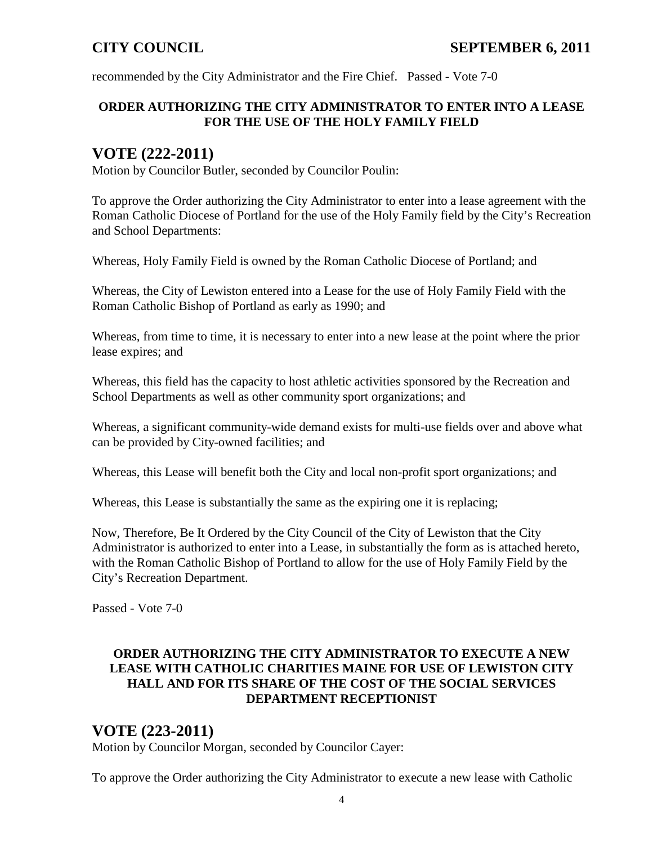recommended by the City Administrator and the Fire Chief. Passed - Vote 7-0

## **ORDER AUTHORIZING THE CITY ADMINISTRATOR TO ENTER INTO A LEASE FOR THE USE OF THE HOLY FAMILY FIELD**

# **VOTE (222-2011)**

Motion by Councilor Butler, seconded by Councilor Poulin:

To approve the Order authorizing the City Administrator to enter into a lease agreement with the Roman Catholic Diocese of Portland for the use of the Holy Family field by the City's Recreation and School Departments:

Whereas, Holy Family Field is owned by the Roman Catholic Diocese of Portland; and

Whereas, the City of Lewiston entered into a Lease for the use of Holy Family Field with the Roman Catholic Bishop of Portland as early as 1990; and

Whereas, from time to time, it is necessary to enter into a new lease at the point where the prior lease expires; and

Whereas, this field has the capacity to host athletic activities sponsored by the Recreation and School Departments as well as other community sport organizations; and

Whereas, a significant community-wide demand exists for multi-use fields over and above what can be provided by City-owned facilities; and

Whereas, this Lease will benefit both the City and local non-profit sport organizations; and

Whereas, this Lease is substantially the same as the expiring one it is replacing;

Now, Therefore, Be It Ordered by the City Council of the City of Lewiston that the City Administrator is authorized to enter into a Lease, in substantially the form as is attached hereto, with the Roman Catholic Bishop of Portland to allow for the use of Holy Family Field by the City's Recreation Department.

Passed - Vote 7-0

## **ORDER AUTHORIZING THE CITY ADMINISTRATOR TO EXECUTE A NEW LEASE WITH CATHOLIC CHARITIES MAINE FOR USE OF LEWISTON CITY HALL AND FOR ITS SHARE OF THE COST OF THE SOCIAL SERVICES DEPARTMENT RECEPTIONIST**

# **VOTE (223-2011)**

Motion by Councilor Morgan, seconded by Councilor Cayer:

To approve the Order authorizing the City Administrator to execute a new lease with Catholic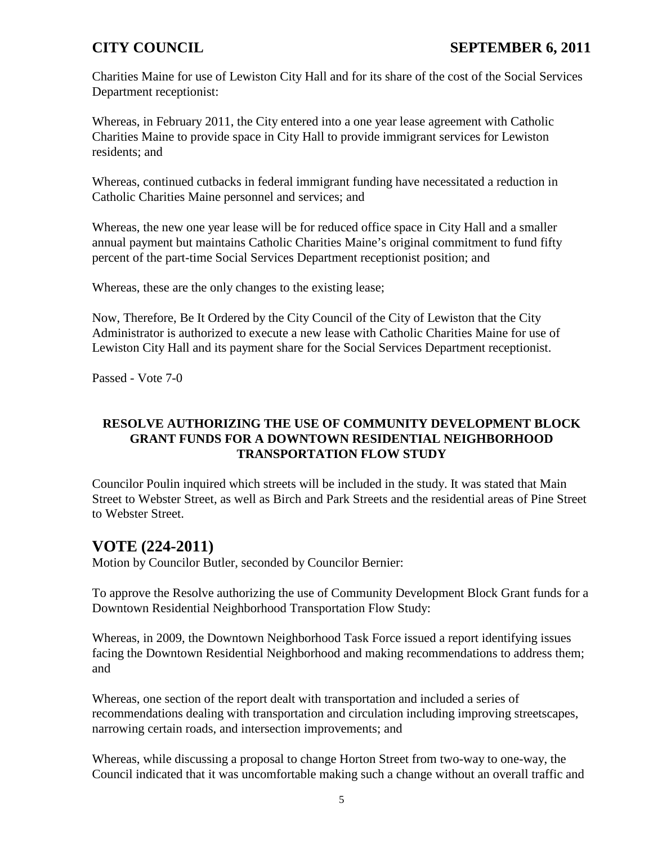Charities Maine for use of Lewiston City Hall and for its share of the cost of the Social Services Department receptionist:

Whereas, in February 2011, the City entered into a one year lease agreement with Catholic Charities Maine to provide space in City Hall to provide immigrant services for Lewiston residents; and

Whereas, continued cutbacks in federal immigrant funding have necessitated a reduction in Catholic Charities Maine personnel and services; and

Whereas, the new one year lease will be for reduced office space in City Hall and a smaller annual payment but maintains Catholic Charities Maine's original commitment to fund fifty percent of the part-time Social Services Department receptionist position; and

Whereas, these are the only changes to the existing lease;

Now, Therefore, Be It Ordered by the City Council of the City of Lewiston that the City Administrator is authorized to execute a new lease with Catholic Charities Maine for use of Lewiston City Hall and its payment share for the Social Services Department receptionist.

Passed - Vote 7-0

## **RESOLVE AUTHORIZING THE USE OF COMMUNITY DEVELOPMENT BLOCK GRANT FUNDS FOR A DOWNTOWN RESIDENTIAL NEIGHBORHOOD TRANSPORTATION FLOW STUDY**

Councilor Poulin inquired which streets will be included in the study. It was stated that Main Street to Webster Street, as well as Birch and Park Streets and the residential areas of Pine Street to Webster Street.

# **VOTE (224-2011)**

Motion by Councilor Butler, seconded by Councilor Bernier:

To approve the Resolve authorizing the use of Community Development Block Grant funds for a Downtown Residential Neighborhood Transportation Flow Study:

Whereas, in 2009, the Downtown Neighborhood Task Force issued a report identifying issues facing the Downtown Residential Neighborhood and making recommendations to address them; and

Whereas, one section of the report dealt with transportation and included a series of recommendations dealing with transportation and circulation including improving streetscapes, narrowing certain roads, and intersection improvements; and

Whereas, while discussing a proposal to change Horton Street from two-way to one-way, the Council indicated that it was uncomfortable making such a change without an overall traffic and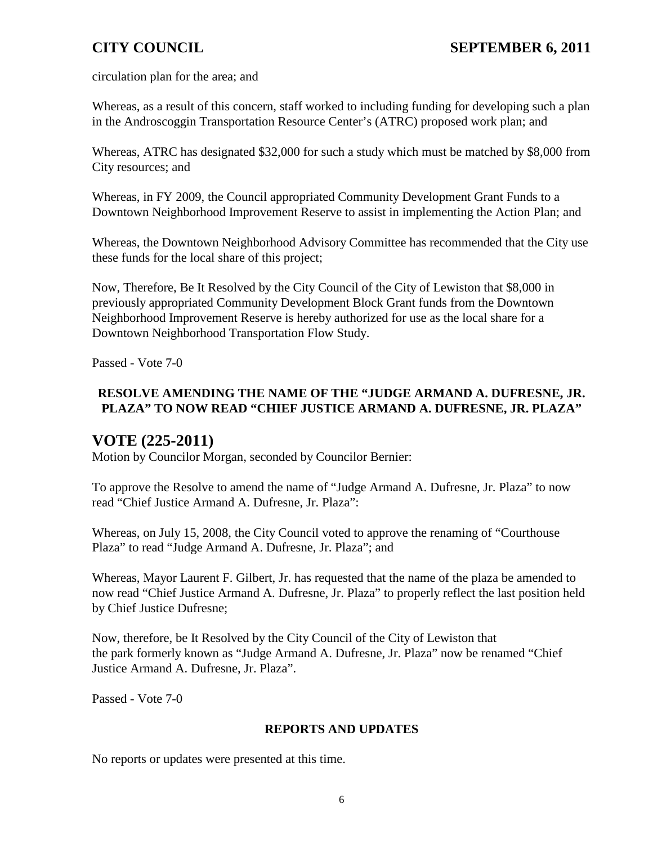circulation plan for the area; and

Whereas, as a result of this concern, staff worked to including funding for developing such a plan in the Androscoggin Transportation Resource Center's (ATRC) proposed work plan; and

Whereas, ATRC has designated \$32,000 for such a study which must be matched by \$8,000 from City resources; and

Whereas, in FY 2009, the Council appropriated Community Development Grant Funds to a Downtown Neighborhood Improvement Reserve to assist in implementing the Action Plan; and

Whereas, the Downtown Neighborhood Advisory Committee has recommended that the City use these funds for the local share of this project;

Now, Therefore, Be It Resolved by the City Council of the City of Lewiston that \$8,000 in previously appropriated Community Development Block Grant funds from the Downtown Neighborhood Improvement Reserve is hereby authorized for use as the local share for a Downtown Neighborhood Transportation Flow Study.

Passed - Vote 7-0

## **RESOLVE AMENDING THE NAME OF THE "JUDGE ARMAND A. DUFRESNE, JR. PLAZA" TO NOW READ "CHIEF JUSTICE ARMAND A. DUFRESNE, JR. PLAZA"**

# **VOTE (225-2011)**

Motion by Councilor Morgan, seconded by Councilor Bernier:

To approve the Resolve to amend the name of "Judge Armand A. Dufresne, Jr. Plaza" to now read "Chief Justice Armand A. Dufresne, Jr. Plaza":

Whereas, on July 15, 2008, the City Council voted to approve the renaming of "Courthouse Plaza" to read "Judge Armand A. Dufresne, Jr. Plaza"; and

Whereas, Mayor Laurent F. Gilbert, Jr. has requested that the name of the plaza be amended to now read "Chief Justice Armand A. Dufresne, Jr. Plaza" to properly reflect the last position held by Chief Justice Dufresne;

Now, therefore, be It Resolved by the City Council of the City of Lewiston that the park formerly known as "Judge Armand A. Dufresne, Jr. Plaza" now be renamed "Chief Justice Armand A. Dufresne, Jr. Plaza".

Passed - Vote 7-0

### **REPORTS AND UPDATES**

No reports or updates were presented at this time.